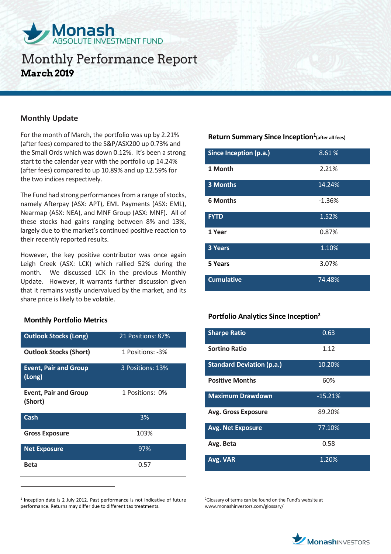

### **Monthly Update**

For the month of March, the portfolio was up by 2.21% (after fees) compared to the S&P/ASX200 up 0.73% and the Small Ords which was down 0.12%. It's been a strong start to the calendar year with the portfolio up 14.24% (after fees) compared to up 10.89% and up 12.59% for the two indices respectively.

The Fund had strong performances from a range of stocks, namely Afterpay (ASX: APT), EML Payments (ASX: EML), Nearmap (ASX: NEA), and MNF Group (ASX: MNF). All of these stocks had gains ranging between 8% and 13%, largely due to the market's continued positive reaction to their recently reported results.

However, the key positive contributor was once again Leigh Creek (ASX: LCK) which rallied 52% during the month. We discussed LCK in the previous Monthly Update. However, it warrants further discussion given that it remains vastly undervalued by the market, and its share price is likely to be volatile.

#### **Monthly Portfolio Metrics**

 $\overline{a}$ 

| <b>Outlook Stocks (Long)</b>            | 21 Positions: 87% |
|-----------------------------------------|-------------------|
| <b>Outlook Stocks (Short)</b>           | 1 Positions: -3%  |
| <b>Event, Pair and Group</b><br>(Long)  | 3 Positions: 13%  |
| <b>Event, Pair and Group</b><br>(Short) | 1 Positions: 0%   |
| Cash                                    | 3%                |
| <b>Gross Exposure</b>                   | 103%              |
| <b>Net Exposure</b>                     | 97%               |
| <b>Beta</b>                             | 0.57              |

<sup>1</sup> Inception date is 2 July 2012. Past performance is not indicative of future performance. Returns may differ due to different tax treatments.

## **Return Summary Since Inception<sup>1</sup> (after all fees)**

| Since Inception (p.a.) | 8.61%    |
|------------------------|----------|
| 1 Month                | 2.21%    |
| <b>3 Months</b>        | 14.24%   |
| <b>6 Months</b>        | $-1.36%$ |
| <b>FYTD</b>            | 1.52%    |
| 1 Year                 | 0.87%    |
| 3 Years                | 1.10%    |
| 5 Years                | 3.07%    |
| <b>Cumulative</b>      | 74.48%   |

#### **Portfolio Analytics Since Inception<sup>2</sup>**

| <b>Sharpe Ratio</b>              | 0.63      |
|----------------------------------|-----------|
| <b>Sortino Ratio</b>             | 1.12      |
| <b>Standard Deviation (p.a.)</b> | 10.20%    |
| <b>Positive Months</b>           | 60%       |
| <b>Maximum Drawdown</b>          | $-15.21%$ |
| <b>Avg. Gross Exposure</b>       | 89.20%    |
| <b>Avg. Net Exposure</b>         | 77.10%    |
| Avg. Beta                        | 0.58      |
| Avg. VAR                         | 1.20%     |

<sup>2</sup>Glossary of terms can be found on the Fund's website at www.monashinvestors.com/glossary/

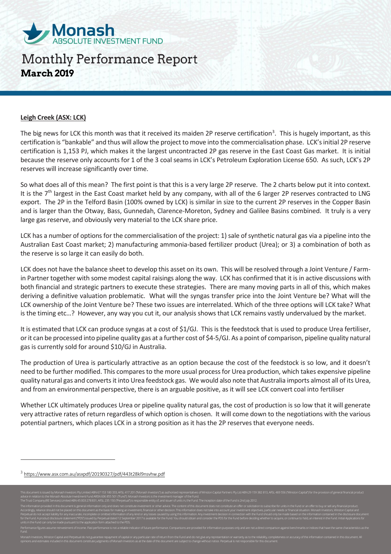

#### **Leigh Creek (ASX: LCK)**

The big news for LCK this month was that it received its maiden 2P reserve certification<sup>3</sup>. This is hugely important, as this certification is "bankable" and thus will allow the project to move into the commercialisation phase. LCK's initial 2P reserve certification is 1,153 PJ, which makes it the largest uncontracted 2P gas reserve in the East Coast Gas market. It is initial because the reserve only accounts for 1 of the 3 coal seams in LCK's Petroleum Exploration License 650. As such, LCK's 2P reserves will increase significantly over time.

So what does all of this mean? The first point is that this is a very large 2P reserve. The 2 charts below put it into context. It is the  $7<sup>th</sup>$  largest in the East Coast market held by any company, with all of the 6 larger 2P reserves contracted to LNG export. The 2P in the Telford Basin (100% owned by LCK) is similar in size to the current 2P reserves in the Copper Basin and is larger than the Otway, Bass, Gunnedah, Clarence-Moreton, Sydney and Galilee Basins combined. It truly is a very large gas reserve, and obviously very material to the LCK share price.

LCK has a number of options for the commercialisation of the project: 1) sale of synthetic natural gas via a pipeline into the Australian East Coast market; 2) manufacturing ammonia-based fertilizer product (Urea); or 3) a combination of both as the reserve is so large it can easily do both.

LCK does not have the balance sheet to develop this asset on its own. This will be resolved through a Joint Venture / Farmin Partner together with some modest capital raisings along the way. LCK has confirmed that it is in active discussions with both financial and strategic partners to execute these strategies. There are many moving parts in all of this, which makes deriving a definitive valuation problematic. What will the syngas transfer price into the Joint Venture be? What will the LCK ownership of the Joint Venture be? These two issues are interrelated. Which of the three options will LCK take? What is the timing etc…? However, any way you cut it, our analysis shows that LCK remains vastly undervalued by the market.

It is estimated that LCK can produce syngas at a cost of \$1/GJ. This is the feedstock that is used to produce Urea fertiliser, or it can be processed into pipeline quality gas at a further cost of \$4-5/GJ. As a point of comparison, pipeline quality natural gas is currently sold for around \$10/GJ in Australia.

The production of Urea is particularly attractive as an option because the cost of the feedstock is so low, and it doesn't need to be further modified. This compares to the more usual process for Urea production, which takes expensive pipeline quality natural gas and converts it into Urea feedstock gas. We would also note that Australia imports almost all of its Urea, and from an environmental perspective, there is an arguable positive, as it will see LCK convert coal into fertiliser

Whether LCK ultimately produces Urea or pipeline quality natural gas, the cost of production is so low that it will generate very attractive rates of return regardless of which option is chosen. It will come down to the negotiations with the various potential partners, which places LCK in a strong position as it has the 2P reserves that everyone needs.

 $\overline{a}$ 

<sup>&</sup>lt;sup>3</sup> <https://www.asx.com.au/asxpdf/20190327/pdf/443t28kl9nsvhw.pdf>

N 29 159 382 813, AFSL 469 556 ("Winste advice in relation to the Monash Absolute Investment Fund ARSN 606 855 501 ("Fund"). Monash Investors is the investment manager of the Fund. The Trust Company (RE Services) Limited ABN 45 003 278 831, AFSL 235 150 ("Perpetual") is responsible entity of, and issuer of units in,the Fund. The inception date of the Fund is 2nd July 2012. The information provided in this document is general information only and does not constitute investment or other advice. The content of this document does not constitute an offer or solicitation to subscribe for units in Accordingly, reliance should not be placed on this document as the basis for making an investment, financial or other decision. This information does not take into account your investment objectives, particular needs or fi Perpetual do not accept liability for any inaccurate, incomplete or omitted information of any kind or any losses caused by using this information. Any investment decision in connection with the Fund should only be made ba for the Fund. A product disclosure statement ("PDS") issued by Perpetual dated 12 September 2017 is available for the Fund. You should obtain and consider the PDS for the Fund before deciding whether to acquire, or continu units in the Fund can only be made pursuant to the application form attached to the PDS. Performance figures assume reinvestment of income. Past performance is not a reliable indicator of future performance. Comparisons are provided for information purposes only and are not a direct comparison against benchmar

Monash Investors, Winston Capital and Perpetual do not guarantee repayment of capital or any particular rate of return from the Fund and do not give any representation or warranty as to the reliability, completeness or acc opinions and estimates included in this document constitute judgments of Monash Investors as at the date of this document are subject to change without notice. Perpetual is not responsible for this document.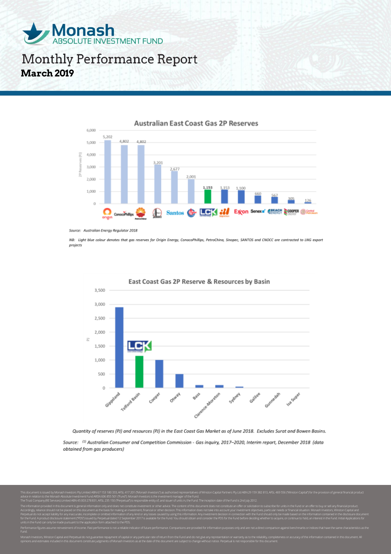



**Australian East Coast Gas 2P Reserves** 

NB: Light blue colour denotes that gas reserves for Origin Energy, ConocoPhillips, PetroChina, Sinopec, SANTOS and CNOCC are contracted to LNG export projects



Quantity of reserves (PJ) and resources (PJ) in the East Coast Gas Market as of June 2018. Excludes Surat and Bowen Basins.

Source: (1) Australian Consumer and Competition Commission - Gas inquiry, 2017-2020, Interim report, December 2018 (data obtained from gas producers)

V 29 159 382 813, AFSL 469 556 M advice in relation to the Monash Absolute Investment Fund ARSN 606 855 501 ("Fund"). Monash Investors is the investment manager of the Fund. The Trust Company (RE Services) Limited ABN 45 003 278 831, AFSL 235 150 ("Perpetual") is responsible entity of, and issuer of units in,the Fund. The inception date of the Fund is 2nd July 2012. The information provided in this document is general information only and does not constitute investment or other advice. The content of this document does not constitute an offer or solicitation to subscribe for units in Accordingly, reliance should not be placed on this document as the basis for making an investment, financial or other decision. This information does not take into account your investment objectives, particular needs or fi Perpetual do not accept liability for any inaccurate, incomplete or omitted information of any kind or any losses caused by using this information. Any investment decision in connection with the Fund should only be made ba for the Fund. A product disclosure statement ("PDS") issued by Perpetual dated 12 September 2017 is available for the Fund. You should obtain and consider the PDS for the Fund before deciding whether to acquire, or continu units in the Fund can only be made pursuant to the application form attached to the PDS.

Performance figures assume reinvestment of income. Past performance is not a reliable indicator of future performance. Comparisons are provided for information purposes only and are not a direct comparison against benchmar

Source: Australian Energy Regulator 2018